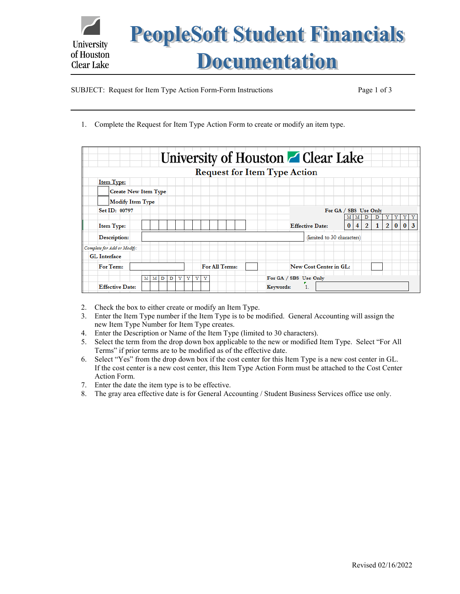

SUBJECT: Request for Item Type Action Form-Form Instructions Page 1 of 3

1. Complete the Request for Item Type Action Form to create or modify an item type.

|                             |   |   |   |   |   |   |   |   |  |                |  |           |  | University of Houston Clear Lake    |  |                       |          |   |                |              |                |          |          |   |
|-----------------------------|---|---|---|---|---|---|---|---|--|----------------|--|-----------|--|-------------------------------------|--|-----------------------|----------|---|----------------|--------------|----------------|----------|----------|---|
|                             |   |   |   |   |   |   |   |   |  |                |  |           |  | <b>Request for Item Type Action</b> |  |                       |          |   |                |              |                |          |          |   |
| <b>Item Type:</b>           |   |   |   |   |   |   |   |   |  |                |  |           |  |                                     |  |                       |          |   |                |              |                |          |          |   |
| <b>Create New Item Type</b> |   |   |   |   |   |   |   |   |  |                |  |           |  |                                     |  |                       |          |   |                |              |                |          |          |   |
| <b>Modify Item Type</b>     |   |   |   |   |   |   |   |   |  |                |  |           |  |                                     |  |                       |          |   |                |              |                |          |          |   |
| Set ID: 00797               |   |   |   |   |   |   |   |   |  |                |  |           |  |                                     |  | For GA / SBS Use Only |          |   |                |              |                |          |          |   |
|                             |   |   |   |   |   |   |   |   |  |                |  |           |  |                                     |  |                       |          | м | D              | D            | Υ              | Y        | Υ        |   |
| <b>Item Type:</b>           |   |   |   |   |   |   |   |   |  |                |  |           |  | <b>Effective Date:</b>              |  |                       | $\bf{0}$ | 4 | $\overline{2}$ | $\mathbf{1}$ | $\overline{2}$ | $\bf{0}$ | $\bf{0}$ | 3 |
| Description:                |   |   |   |   |   |   |   |   |  |                |  |           |  | (limited to 30 characters)          |  |                       |          |   |                |              |                |          |          |   |
| Complete for Add or Modify: |   |   |   |   |   |   |   |   |  |                |  |           |  |                                     |  |                       |          |   |                |              |                |          |          |   |
| <b>GL</b> Interface         |   |   |   |   |   |   |   |   |  |                |  |           |  |                                     |  |                       |          |   |                |              |                |          |          |   |
| For Term:                   |   |   |   |   |   |   |   |   |  | For All Terms: |  |           |  | New Cost Center in GL:              |  |                       |          |   |                |              |                |          |          |   |
|                             | м | м | D | D | Y | Y | Y | Y |  |                |  |           |  | For GA / SBS Use Only               |  |                       |          |   |                |              |                |          |          |   |
| <b>Effective Date:</b>      |   |   |   |   |   |   |   |   |  |                |  | Keywords: |  |                                     |  |                       |          |   |                |              |                |          |          |   |

- 2. Check the box to either create or modify an Item Type.
- 3. Enter the Item Type number if the Item Type is to be modified. General Accounting will assign the new Item Type Number for Item Type creates.
- 4. Enter the Description or Name of the Item Type (limited to 30 characters).
- 5. Select the term from the drop down box applicable to the new or modified Item Type. Select "For All Terms" if prior terms are to be modified as of the effective date.
- 6. Select "Yes" from the drop down box if the cost center for this Item Type is a new cost center in GL. If the cost center is a new cost center, this Item Type Action Form must be attached to the Cost Center Action Form.
- 7. Enter the date the item type is to be effective.
- 8. The gray area effective date is for General Accounting / Student Business Services office use only.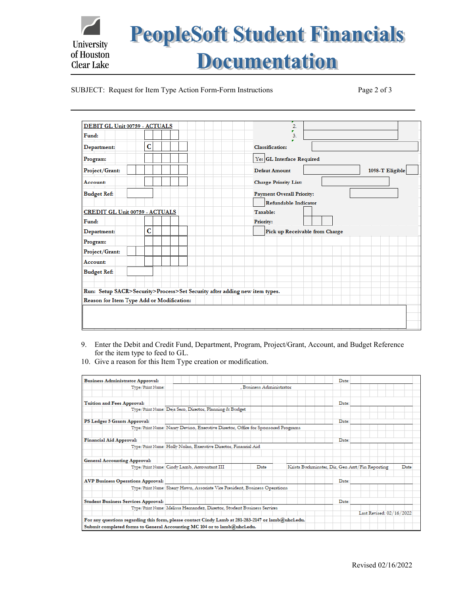

## SUBJECT: Request for Item Type Action Form-Form Instructions Page 2 of 3

| DEBIT GL Unit 00759 - ACTUALS  |                                                                            | $\overline{2}$                   |  |  |  |  |  |  |  |  |  |
|--------------------------------|----------------------------------------------------------------------------|----------------------------------|--|--|--|--|--|--|--|--|--|
| Fund:                          |                                                                            | ۳<br>3.                          |  |  |  |  |  |  |  |  |  |
| Department:                    | Ċ                                                                          | <b>Classification:</b>           |  |  |  |  |  |  |  |  |  |
| Program:                       |                                                                            | Yes GL Interface Required        |  |  |  |  |  |  |  |  |  |
| Project/Grant:                 |                                                                            | 1098-T Eligible<br>Defaut Amount |  |  |  |  |  |  |  |  |  |
| Account:                       |                                                                            | <b>Charge Priority List:</b>     |  |  |  |  |  |  |  |  |  |
| <b>Budget Ref:</b>             |                                                                            | <b>Payment Overall Priority:</b> |  |  |  |  |  |  |  |  |  |
|                                |                                                                            | Refundable Indicator             |  |  |  |  |  |  |  |  |  |
| CREDIT GL Unit 00759 - ACTUALS |                                                                            | Taxable:                         |  |  |  |  |  |  |  |  |  |
| Fund:                          |                                                                            | Priority:                        |  |  |  |  |  |  |  |  |  |
| Department:                    | c                                                                          | Pick up Receivable from Charge   |  |  |  |  |  |  |  |  |  |
| Program:                       |                                                                            |                                  |  |  |  |  |  |  |  |  |  |
| Project/Grant:                 |                                                                            |                                  |  |  |  |  |  |  |  |  |  |
| Account:                       |                                                                            |                                  |  |  |  |  |  |  |  |  |  |
| <b>Budget Ref:</b>             |                                                                            |                                  |  |  |  |  |  |  |  |  |  |
|                                |                                                                            |                                  |  |  |  |  |  |  |  |  |  |
|                                | Run: Setup SACR>Security>Process>Set Security after adding new item types. |                                  |  |  |  |  |  |  |  |  |  |
|                                | Reason for Item Type Add or Modification:                                  |                                  |  |  |  |  |  |  |  |  |  |
|                                |                                                                            |                                  |  |  |  |  |  |  |  |  |  |
|                                |                                                                            |                                  |  |  |  |  |  |  |  |  |  |
|                                |                                                                            |                                  |  |  |  |  |  |  |  |  |  |

- 9. Enter the Debit and Credit Fund, Department, Program, Project/Grant, Account, and Budget Reference for the item type to feed to GL.
- 10. Give a reason for this Item Type creation or modification.

|                                            |                                             |                                                                                                                                                                                                        | Date:                                                                                                                                                                                                                                                                                                                                            |                                                                             |
|--------------------------------------------|---------------------------------------------|--------------------------------------------------------------------------------------------------------------------------------------------------------------------------------------------------------|--------------------------------------------------------------------------------------------------------------------------------------------------------------------------------------------------------------------------------------------------------------------------------------------------------------------------------------------------|-----------------------------------------------------------------------------|
| Type/Print Name:                           | . Business Administrator                    |                                                                                                                                                                                                        |                                                                                                                                                                                                                                                                                                                                                  |                                                                             |
| Tuition and Fees Approval:                 |                                             |                                                                                                                                                                                                        | Date:                                                                                                                                                                                                                                                                                                                                            |                                                                             |
|                                            |                                             |                                                                                                                                                                                                        |                                                                                                                                                                                                                                                                                                                                                  |                                                                             |
| PS Ledger 5 Grants Approval:               |                                             |                                                                                                                                                                                                        | Date:                                                                                                                                                                                                                                                                                                                                            |                                                                             |
|                                            |                                             |                                                                                                                                                                                                        |                                                                                                                                                                                                                                                                                                                                                  |                                                                             |
| <b>Financial Aid Approval:</b>             |                                             |                                                                                                                                                                                                        | Date:                                                                                                                                                                                                                                                                                                                                            |                                                                             |
|                                            |                                             |                                                                                                                                                                                                        |                                                                                                                                                                                                                                                                                                                                                  |                                                                             |
| <b>General Accounting Approval:</b>        |                                             |                                                                                                                                                                                                        |                                                                                                                                                                                                                                                                                                                                                  |                                                                             |
|                                            | Date                                        |                                                                                                                                                                                                        |                                                                                                                                                                                                                                                                                                                                                  | Date                                                                        |
| <b>AVP Business Operations Approval:</b>   |                                             |                                                                                                                                                                                                        | Date:                                                                                                                                                                                                                                                                                                                                            |                                                                             |
|                                            |                                             |                                                                                                                                                                                                        |                                                                                                                                                                                                                                                                                                                                                  |                                                                             |
| <b>Student Business Services Approval:</b> |                                             |                                                                                                                                                                                                        | Date:                                                                                                                                                                                                                                                                                                                                            |                                                                             |
|                                            |                                             |                                                                                                                                                                                                        |                                                                                                                                                                                                                                                                                                                                                  |                                                                             |
|                                            |                                             |                                                                                                                                                                                                        |                                                                                                                                                                                                                                                                                                                                                  |                                                                             |
|                                            |                                             |                                                                                                                                                                                                        |                                                                                                                                                                                                                                                                                                                                                  |                                                                             |
|                                            | Type/Print Name: Cindy Lamb, Accountant III | Type/Print Name: Deja Sero, Director, Planning & Budget<br>Type/Print Name: Holly Nolan, Executive Director, Financial Aid<br>Submit completed forms to General Accounting MC 104 or to lamb@uhcl.edu. | Type/Print Name: Nancy Devino, Executive Director, Office for Sponsored Programs<br>Type/Print Name: Sherry Hawn, Associate Vice President, Business Operations<br>Type/Print Name: Melissa Hernandez, Director, Student Business Services<br>For any questions regarding this form, please contact Cindy Lamb at 281-283-2147 or lamb@uhcl.edu. | Krista Buckminster, Dir, Gen Acct/Fin Reporting<br>Last Revised: 02/16/2022 |